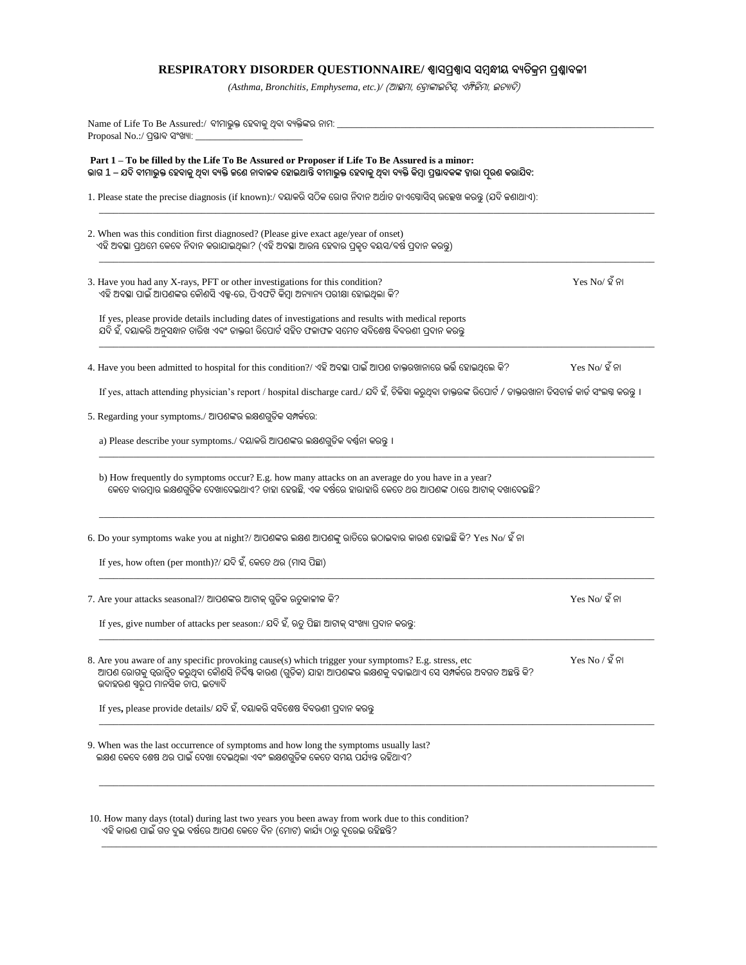## **RESPIRATORY DISORDER QUESTIONNAIRE/ ଶ୍ୱାସପ୍ରଶ୍ୱାସ ସମ୍ବନ୍ଧୀୟ ବ୍ୟତିକ୍ରମ୍ ପ୍ରଶ୍ନାବ୍ଳୀ**

*(Asthma, Bronchitis, Emphysema, etc.)/* (ଆସ୍ଥମା, ବ୍ରାଙ୍କାଇଟିସ୍, ଏମ୍ଫିଜିମା, ଇତ୍ୟାଦି)

| Name of Life To Be Assured:/ ବୀମାଭୁକ୍ତ ହେବାକୁ ଥିବା ବ୍ୟକ୍ତିଙ୍କର ନାମ: ____________<br>Proposal No.:/ ପ୍ରସ୍ତାବ ସଂଖ୍ୟା:                                                                                                                                              |                   |
|------------------------------------------------------------------------------------------------------------------------------------------------------------------------------------------------------------------------------------------------------------------|-------------------|
| Part 1-To be filled by the Life To Be Assured or Proposer if Life To Be Assured is a minor:<br>ଭାଗ 1 – ଯଦି ବୀମାଭୁକ୍ତ ହେବାକୁ ଥିବା ବ୍ୟକ୍ତି ଜଣେ ନାବାଳକ ହୋଇଥାନ୍ତି ବୀମାଭୁକ୍ତ ହେବାକୁ ଥିବା ବ୍ୟକ୍ତି କିମ୍ବା ପ୍ରତ୍ତାବକଙ୍କ ହାରା ପୂରଣ କରାଯିବ:                                |                   |
| 1. Please state the precise diagnosis (if known):/ ଦୟାକରି ସଠିକ ରୋଗ ନିଦାନ ଅର୍ଥାତ ଡାଏକ୍ସୋସିସ୍ ଉଲ୍ଲେଖ କରନ୍ତୁ (ଯଦି କଣାଥାଏ):                                                                                                                                          |                   |
| 2. When was this condition first diagnosed? (Please give exact age/year of onset)<br>ଏହି ଅବସ୍ଥା ପ୍ରଥମେ କେବେ ନିଦାନ କରାଯାଇଥିଲା? (ଏହି ଅବସ୍ଥା ଆରୟ ହେବାର ପ୍ରକୃତ ବୟସ/ବର୍ଷ ପ୍ରଦାନ କରନ୍ତୁ)                                                                               |                   |
| 3. Have you had any X-rays, PFT or other investigations for this condition?<br>ଏହି ଅବସ୍ଥା ପାଇଁ ଆପଣଙ୍କର କୌଣସି ଏକ୍ସ-ରେ, ପିଏଫଟି କିମ୍ବା ଅନ୍ୟାନ୍ୟ ପରୀକ୍ଷା ହୋଇଥିଲା କି?                                                                                                 | $Yes No/$ ହ ଁନା   |
| If yes, please provide details including dates of investigations and results with medical reports<br>ଯଦି ହଁ, ଦୟାକରି ଅନୁସନ୍ଧାନ ତାରିଖ ଏବଂ ଡାକ୍ତରୀ ରିପୋର୍ଟ ସହିତ ଫଳାଫଳ ସମେତ ସବିଶେଷ ବିବରଣୀ ପ୍ରଦାନ କରନ୍ତୁ                                                              |                   |
| 4. Have you been admitted to hospital for this condition?/ ଏହି ଅବସ୍ଥା ପାଇଁ ଆପଶ ଡାକ୍ତରଖାନାରେ ଭର୍ତ୍ତି ହୋଇଥିଲେ କି?                                                                                                                                                  | $Yes No/$ ହ ଁ ନା  |
| If yes, attach attending physician's report / hospital discharge card./ ଯଦି ହଁ, ଚିକିହା କରୁଥିବା ଡାକ୍ତରଙ୍କ ରିପୋର୍ଟ / ଡାକ୍ତରଖାନା ଡିସଚାର୍କ କାର୍ଡ ସଂଲଗ୍ନ କରନ୍ତୁ ।                                                                                                     |                   |
| 5. Regarding your symptoms./ ଆପଶଙ୍କର ଲକ୍ଷଣଗୁଡିକ ସମ୍ପର୍କରେ:                                                                                                                                                                                                       |                   |
| a) Please describe your symptoms./ ଦୟାକରି ଆପଶଙ୍କର ଲକ୍ଷଶଗ୍ରଡିକ ବର୍ଷନା କରନ୍ତ ।                                                                                                                                                                                     |                   |
| b) How frequently do symptoms occur? E.g. how many attacks on an average do you have in a year?<br>କେତେ ବାରମ୍ବାର ଲକ୍ଷଣଗୁଡିକ ଦେଖାଦେଇଥାଏ? ତାହା ହେଉଛି, ଏକ ବର୍ଷରେ ହାରାହାରି କେତେ ଥର ଆପଶଙ୍କ ଠାରେ ଆଟାକ୍ ଦଖାଦେଇଛି?                                                       |                   |
| 6. Do your symptoms wake you at night?/ ଆପଶଙ୍କର ଲକ୍ଷଣ ଆପଶଙ୍କୁ ରାତିରେ ଉଠାଇବାର କାରଣ ହୋଇଛି କି? Yes No/ ହିଁ ନା                                                                                                                                                       |                   |
| If yes, how often (per month)?/ ଯଦି ହଁ, କେତେ ଥର (ମାସ ପିଛା)                                                                                                                                                                                                       |                   |
| 7. Are your attacks seasonal?/ ଆପଶଙ୍କର ଆଟାକ୍ ଗୁଡିକ ଋତୁକାଳୀକ କି?                                                                                                                                                                                                  | $Yes No/$ ହ ଁ ନା  |
| If yes, give number of attacks per season:/ ଯଦି ହଁ, ଋତୁ ପିଛା ଆଟାକ୍ ସଂଖ୍ୟା ପ୍ରଦାନ କରନ୍ତୁ:                                                                                                                                                                         |                   |
| 8. Are you aware of any specific provoking cause(s) which trigger your symptoms? E.g. stress, etc<br>ଆପଶ ରୋଗକୁ ତ୍ୱରାନ୍ୱିତ କରୁଥିବା କୌଶସି ନିର୍ଦ୍ଦିଷ୍ଟ କାରଶ (ଗ୍ରଡିକ) ଯାହା ଆପଶଙ୍କର ଲକ୍ଷଶକୁ ବଢାଇଥାଏ ସେ ସମ୍ପର୍କରେ ଅବଗତ ଅଛନ୍ତି କି?<br>ଉଦାହରଣ ସ୍ୱରୂପ ମାନସିକ ଚାପ, ଇତ୍ୟାଦି | $Yes No / 2$ ଁ ନା |
| If yes, please provide details/ ଯଦି ହଁ, ଦୟାକରି ସବିଶେଷ ବିବରଣୀ ପ୍ରଦାନ କରନ୍ତୁ                                                                                                                                                                                       |                   |
| 9. When was the last occurrence of symptoms and how long the symptoms usually last?<br>ଲକ୍ଷଣ କେବେ ଶେଷ ଥର ପାଇଁ ଦେଖା ଦେଇଥିଲା ଏବଂ ଲକ୍ଷଣଗ୍ରଡିକ କେତେ ସମୟ ପର୍ଯ୍ୟନ୍ତ ରହିଥାଏ?                                                                                            |                   |
| 10. How many days (total) during last two years you been away from work due to this condition?<br>ଏହି କାରଣ ପାଇଁ ଗତ ଦୁଇ ବର୍ଷରେ ଆପଣ କେତେ ଦିନ (ମୋଟ) କାର୍ଯ୍ୟ ଠାରୁ ଦ୍ରରେଇ ରହିଛନ୍ତି?                                                                                   |                   |

\_\_\_\_\_\_\_\_\_\_\_\_\_\_\_\_\_\_\_\_\_\_\_\_\_\_\_\_\_\_\_\_\_\_\_\_\_\_\_\_\_\_\_\_\_\_\_\_\_\_\_\_\_\_\_\_\_\_\_\_\_\_\_\_\_\_\_\_\_\_\_\_\_\_\_\_\_\_\_\_\_\_\_\_\_\_\_\_\_\_\_\_\_\_\_\_\_\_\_\_\_\_\_\_\_\_\_\_\_\_\_\_\_\_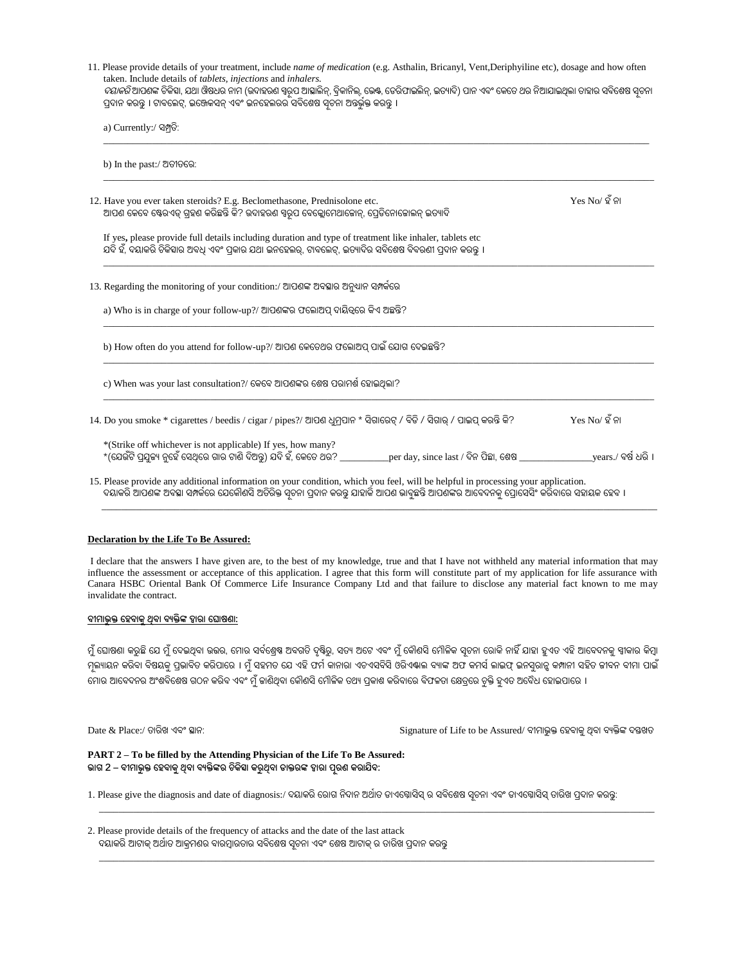| 11. Please provide details of your treatment, include name of medication (e.g. Asthalin, Bricanyl, Vent, Deriphyiline etc), dosage and how often<br>taken. Include details of tablets, injections and inhalers.<br><i>ଦୟାକରି</i> ଆପଶଙ୍କ ଚିକିହା, ଯଥା ଔଷଧର ନାମ (ଉଦାହରଣ ସ୍ୱରୂପ ଆସ୍କାଲିନ୍, ବ୍ରିକାନିଲ୍, ଭେଷ୍ଟ, ଡେଗିଫାଇଲିନ୍, ଇତ୍ୟାଦି) ପାନ ଏବଂ କେତେ ଥର ନିଆଯାଇଥିଲା ତାହାର ସବିଶେଷ ସୂଚନା<br>ପ୍ରଦାନ କରନ୍ତୁ । ଟାବଲେଟ୍, ଇଞ୍ଜେକସନ୍ ଏବଂ ଇନହେଲରର ସବିଶେଷ ସ୍ୱଚନା ଅନ୍ତର୍ଭୁକ୍ତ କରନ୍ତୁ । |                  |
|--------------------------------------------------------------------------------------------------------------------------------------------------------------------------------------------------------------------------------------------------------------------------------------------------------------------------------------------------------------------------------------------------------------------------------------------------------------------|------------------|
| a) Currently:/ ସମ୍ପତି:                                                                                                                                                                                                                                                                                                                                                                                                                                             |                  |
| b) In the past:/ ଅତୀତରେ:                                                                                                                                                                                                                                                                                                                                                                                                                                           |                  |
| 12. Have you ever taken steroids? E.g. Beclomethasone, Prednisolone etc.<br>ଆପଶ କେବେ ଷ୍ଟେରଏଡ୍ ଗ୍ରହଶ କରିଛନ୍ତି କି? ଉଦାହରଶ ସ୍ୱରୂପ ବେକ୍ଲୋମେଥାଜୋନ୍, ପ୍ରେଡିନୋଜୋଲନ୍ ଇତ୍ୟାଦି                                                                                                                                                                                                                                                                                               | $Yes No/$ ହ ଁ ନା |
| If yes, please provide full details including duration and type of treatment like inhaler, tablets etc<br>ଯଦି ହଁ, ଦୟାକରି ଚିକିହାର ଅବଧି ଏବଂ ପ୍ରକାର ଯଥା ଇନହେଲର୍, ଟାବଲେଟ୍, ଇତ୍ୟାଦିର ସବିଶେଷ ବିବରଣୀ ପ୍ରଦାନ କରନ୍ତୁ ।                                                                                                                                                                                                                                                      |                  |
| 13. Regarding the monitoring of your condition:/ ଆପଶଙ୍କ ଅବସ୍ଥାର ଅନୁଧାନ ସମ୍ପର୍କରେ                                                                                                                                                                                                                                                                                                                                                                                   |                  |
| a) Who is in charge of your follow-up?/ ଆପଶଙ୍କର ଫଲୋଅପ ଦାୟିତ୍ୱରେ କିଏ ଅଛନ୍ତି?                                                                                                                                                                                                                                                                                                                                                                                        |                  |
| b) How often do you attend for follow-up?/ ଆପଶ କେତେଥର ଫଲୋଅପ୍ ପାଇଁ ଯୋଗ ଦେଇଛନ୍ତି?                                                                                                                                                                                                                                                                                                                                                                                    |                  |
| c) When was your last consultation?/ କେବେ ଆପଶଙ୍କର ଶେଷ ପରାମର୍ଶ ହୋଇଥିଲା?                                                                                                                                                                                                                                                                                                                                                                                             |                  |
| 14. Do you smoke * cigarettes / beedis / cigar / pipes?/ ଆପଶ ଧୁମ୍ପାନ * ସିଗାରେଟ୍ / ବିଡି / ସିଗାର୍ / ପାଇପ୍ କରନ୍ତି କି?                                                                                                                                                                                                                                                                                                                                                 | $Yes No/$ ହ ଁ ନା |
| *(Strike off whichever is not applicable) If yes, how many?<br>*(ଯେଉଁଟି ପ୍ରଯୁଜ୍ୟ ନୁହେଁ ସେଥିରେ ଗାର ଟାଶି ଦିଅନ୍ତୁ) ଯଦି ହଁ, କେତେ ଥର? _________per day, since last / ଦିନ ପିଛା, ଶେଷ __________________years./ ବର୍ଷ ଧରି ।                                                                                                                                                                                                                                                 |                  |
| 15. Please provide any additional information on your condition, which you feel, will be helpful in processing your application.<br>ଦୟାକରି ଆପଶଙ୍କ ଅବସ୍ଥା ସମ୍ପର୍କରେ ଯେକୌଶସି ଅତିରିକ୍ତ ସ୍ୱଚନା ପ୍ରଦାନ କରନ୍ତୁ ଯାହାକି ଆପଣ ଭାବୁଛନ୍ତି ଆପଶଙ୍କର ଆବେଦନକୁ ପ୍ରୋସେସିଂ କରିବାରେ ସହାୟକ ହେବ ।                                                                                                                                                                                        |                  |

## **Declaration by the Life To Be Assured:**

I declare that the answers I have given are, to the best of my knowledge, true and that I have not withheld any material information that may influence the assessment or acceptance of this application. I agree that this form will constitute part of my application for life assurance with Canara HSBC Oriental Bank Of Commerce Life Insurance Company Ltd and that failure to disclose any material fact known to me may invalidate the contract.

## **ବ୍ୀମ୍ାଭୁକ୍ତ ହେବ୍ାକୁଥିବ୍ା ବ୍ୟକ୍ତିଙ୍କ ଦ୍ୱାରା ହ ାଷୋ:**

ମୁଁ ଘୋଷଣା କରୁଛି ଯେ ମୁଁ ଦେଇଥିବା ଉତ୍ତର, ମୋର ସର୍ବଶ୍ରେଷ ଅବଗତି ଦୃଷ୍ଟିରୁ, ସତ୍ୟ ଅଟେ ଏବଂ ମୁଁ କୌଣସି ମୌଳିକ ସୂଚନା ରୋକି ନାହିଁ ଯାହା ହୁଏତ ଏହି ଆବେଦନକୁ ସ୍ୱୀକାର କିମ୍ବା ମ୍ଲ୍ୟାୟନ କରିବା ବିଷୟକୁ ପ୍ରଭାବିତ କରିପାରେ । ମୁଁ ସହମତ ଯେ ଏହି ଫର୍ମ କାନାରା ଏଚଏସବିସି ଓରିଏଭାଲ ବ୍ୟାଙ୍କ ଅଫ କମସ୍ର ଲନସୁରାନୁ କମ୍ପାନୀ ସହିତ ଜୀବନ ବୀମା ପାଇଁ ମୋର ଆବେଦନର ଅଂଶବିଶେଷ ଗଠନ କରିବ ଏବଂ ମୁଁ କାଣିଥିବା କୌଣସି ମୌଳିକ ତଥ୍ୟ ପ୍ରକାଶ କରିବାରେ ବିଫଳତା କ୍ଷେତ୍ରରେ ଚୁକ୍ତି ହୁଏତ ଅବୈଧ ହୋଇପାରେ ।

Date & Place:/ ତ୍ାରିଖ୍ ଏବଂ ସ୍ଥାନ: Signature of Life to be Assured/ ବୀମାଭୁକ୍ତ ବ୍େବାକୁଥିବା ବୟକ୍ତିଙ୍କ ଦସ୍ତଖ୍ତ୍

## **PART 2 – To be filled by the Attending Physician of the Life To Be Assured: ଭାଗ 2 – ବ୍ୀମ୍ାଭୁକ୍ତ ହେବ୍ାକୁଥିବ୍ା ବ୍ୟକ୍ତିଙ୍କର ଚକିତ୍ସିା କରୁଥିବ୍ା ଡାକ୍ତରଙ୍କ ଦ୍ୱାରା ପୂରେ କରାଯିବ୍:**

1. Please give the diagnosis and date of diagnosis:/ ଦୟାକରି ରୋଗ ନିଦାନ ଅର୍ଥାତ ଡାଏବ୍ସୋସିସ୍ ର ସବିଶେଷ ସ୍ୱଚନା ଏବଂ ଡାଏଗ୍ଲୋସିସ୍ ତାରିଖ ପ୍ରଦାନ କରନ୍ତୁ:

\_\_\_\_\_\_\_\_\_\_\_\_\_\_\_\_\_\_\_\_\_\_\_\_\_\_\_\_\_\_\_\_\_\_\_\_\_\_\_\_\_\_\_\_\_\_\_\_\_\_\_\_\_\_\_\_\_\_\_\_\_\_\_\_\_\_\_\_\_\_\_\_\_\_\_\_\_\_\_\_\_\_\_\_\_\_\_\_\_\_\_\_\_\_\_\_\_\_\_\_\_\_\_\_\_\_\_\_\_\_\_\_\_\_

\_\_\_\_\_\_\_\_\_\_\_\_\_\_\_\_\_\_\_\_\_\_\_\_\_\_\_\_\_\_\_\_\_\_\_\_\_\_\_\_\_\_\_\_\_\_\_\_\_\_\_\_\_\_\_\_\_\_\_\_\_\_\_\_\_\_\_\_\_\_\_\_\_\_\_\_\_\_\_\_\_\_\_\_\_\_\_\_\_\_\_\_\_\_\_\_\_\_\_\_\_\_\_\_\_\_\_\_\_\_\_\_\_\_

2. Please provide details of the frequency of attacks and the date of the last attack ଦୟାକରି ଆଟାକ୍ ଅର୍ଥାତ ଆକ୍ରମଣର ବାରମ୍ବାରତାର ସବିଶେଷ ସୂଚନା ଏବଂ ଶେଷ ଆଟାକ୍ ର ତାରିଖ ପ୍ରଦାନ କରନ୍ତୁ